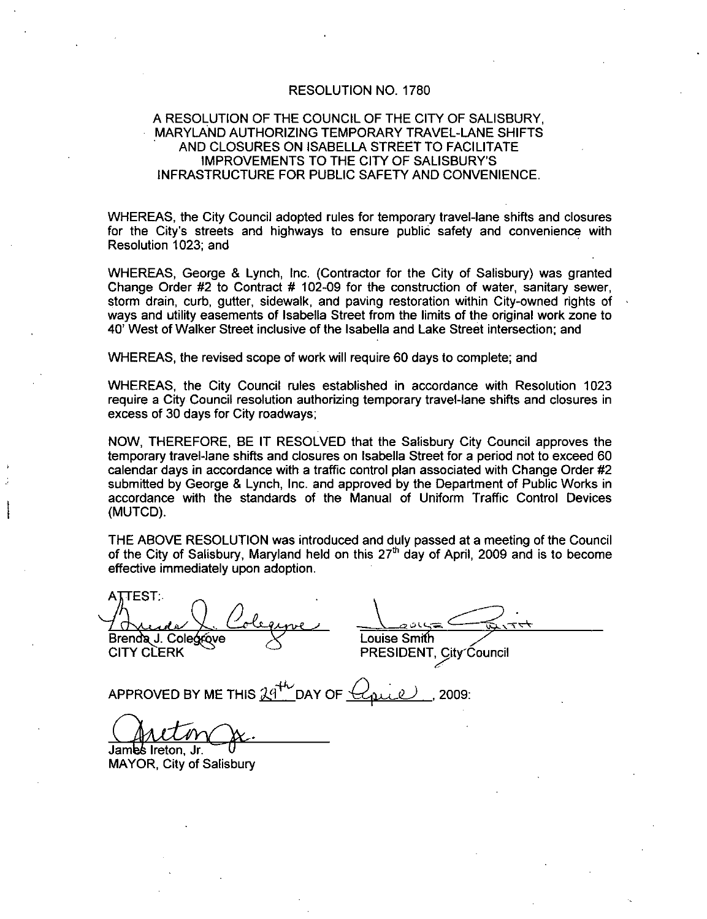#### RESOLUTION NO. 1780

# A RESOLUTION OF THE COUNCIL OF THE CITY OF SALISBURY MARYLAND AUTHORIZING TEMPORARY TRAVEL LANESHIFTS AND CLOSURES ON ISABELLA STREET TO FACILITATE INFRASTRUCTURE FOR PUBLIC SAFETY AND CONVENIENCE IMPROVEMENTS TO THE CITY OF 780<br>CITY OF SALIS<br>RAVEL-LANE<br>T TO FACILITA<br>SALISBURY'S<br>AND CONVENI

WHEREAS, the City Council adopted rules for temporary travel-lane shifts and closures for the City's streets and highways to ensure public safety and convenience with Resolution 1023; and

WHEREAS, George & Lynch, Inc. (Contractor for the City of Salisbury) was granted<br>Change Order #2 to Contract # 102-09 for the construction of water, sanitary sewer, Change Order #2 to Contract # 102-09 for the construction of water, sanitary sewer, storm drain, curb, gutter, sidewalk, and paving restoration within City-owned rights of ways and utility easements of Isabella Street from the limits of the original work zone to 40' West of Walker Street inclusive of the Isabella and Lake Street intersection; and

WHEREAS, the revised scope of work will require 60 days to complete; and

WHEREAS the City Council rules established in accordance with Resolution 1023 require a City Council resolution authorizing temporary travel-lane shifts and closures in excess of 30 days for City roadways

NOW THEREFORE BE IT RESOLVED that the Salisbury City Council approves the temporary travel-lane shifts and closures on Isabella Street for a period not to exceed 60 calendar days in accordance with a traffic control plan associated with Change Order #2 submitted by George & Lynch. Inc. and approved by the Department of Public Works in accordance with the standards of the Manual of Uniform Traffic Control Devices (MUTCD).

THE ABOVE RESOLUTION was introduced and duly passed at a meeting of the Council of the City of Salisbury, Maryland held on this  $27<sup>th</sup>$  day of April, 2009 and is to become effective immediately upon adoption

**ATTEST:** Bren J Cole ve Louise Sm h PRESIDENT, City Council APPROVED BY ME THIS 29<sup>th</sup> DAY OF <u>Colean</u> 2009<br>APPROVED BY ME THIS 29<sup>th</sup> DAY OF Colean 2009<br>APPROVED BY ME THIS 29<sup>th</sup> DAY OF Colean 2009<br>CALLOW CLERK<br>PRESIDENT, City<sup>(</sup><br>APPROVED BY ME THIS 29<sup>th</sup> DAY OF Conce), 2009

James Ireton. Jr. MAYOR, City of Salisbury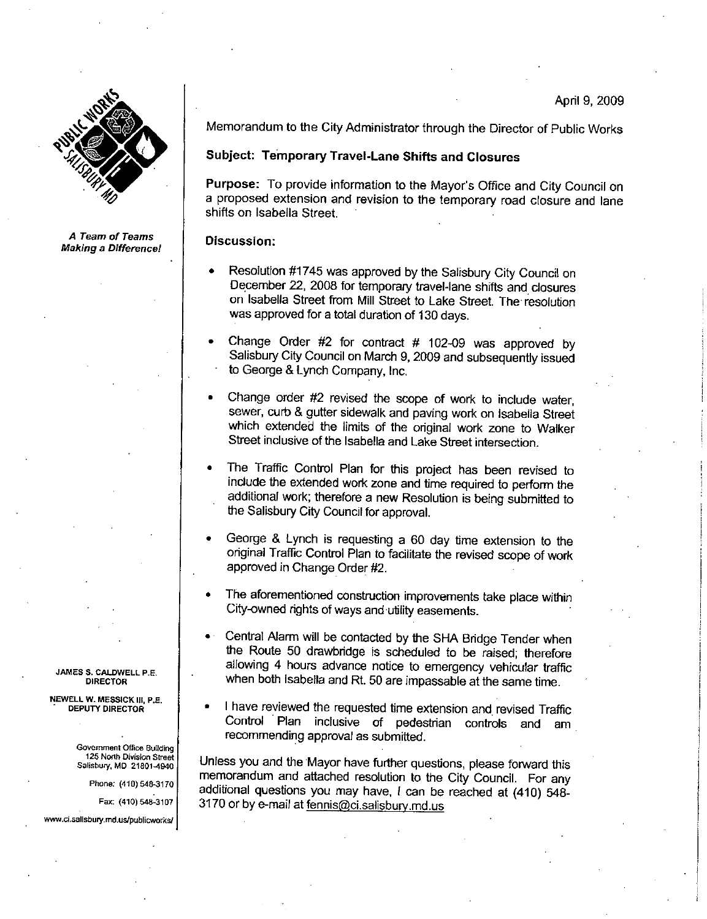

A Team of Teams Making a Difference! Memorandum to the City Administrator through the Director of Public Works

### Subject: Temporary Travel-Lane Shifts and Closures

Memorandum to the City Administrator through the Director of Public Works<br> **Subject: Temporary Travel-Lane Shifts and Closures**<br> **Purpose:** To provide information to the Mayor's Office and City Council on<br>
a proposed exten Purpose: To provide information to the Mayor's Office and City Council on shifts on Isabella Street

#### Discussion:

- Resolution #1745 was approved by the Salisbury City Council on December 22, 2008 for temporary travel-lane shifts and closures on Isabella Street from Mill Street to Lake Street The resolution was approved for <sup>a</sup> total duration of <sup>130</sup> days
- Change Order  $#2$  for contract  $#102-09$  was approved by Salisbury City Council on March 9, 2009 and subsequently issued to George & Lynch Company, Inc.
- Change order #2 revised the scope of work to include water. sewer, curb & gutter sidewalk and paving work on Isabella Street which extended the limits of the original work zone to Walker Street inclusive of the Isabella and Lake Street intersection.
- The Traffic Control Plan for this project has been revised to incude the extended work zone and time required to perform the additional work; therefore a new Resolution is being submitted to the Salisbury City Council for approval
- George & Lynch is requesting a 60 day time extension to the original Traffic Control Plan to fadlitate the revised scope of work approved in Change Order #2.
- The aforementioned construction improvements take place within City-owned rights of ways and utility easements.
- Central Alarm will be contacted by the SHA Bridge Tender when the Route 50 drawbridge is scheduled to be raised; therefore allowing 4 hours advance notice to emergency vehicular traffic when both Isabella and Rt. 50 are impassable at the same time.
- <sup>I</sup> have reviewed the requested time extension and revised Traffic Control Plan inclusive of pedestrian controls and am recommending approval as submitted

Unless you and the Mayor have further questions, please forward this memorandum and attached resolution to the City Council. For any additional questions you may have, I can be reached at (410) 548-3170 or by e-mail at fennis@ci.salisbury.md.us the Route 50 drawbridge is scheduled to allowing 4 hours advance notice to emerge when both isabella and Rt. 50 are impassable • I have reviewed the requested time extension Control Plan inclusive of pedestrian recommendin

JAMES S. CALDWELL P.E. DIRECTOR

NEWELL W. MESSICK III, P.E. DEPUTY DIRECTOR

Government Office Building 125 Nonh Division Street Salisbury, MD 21801-4940 JAMES S. CALDWELL P.E.<br>
DIRECTOR<br>
NEWELL W. MESSICK III, P.E.<br>
DEPUTY DIRECTOR<br>
Sovernment Office Building<br>
125 North Division Street<br>
Salisbury, MD 21801-4940<br>
Phone: (410) 548-3170<br>
Fax: (410) 548-3107<br>
31<br>
www.ci.salisb

Phone: (410) 548-3170

Fax: (410) 548-3107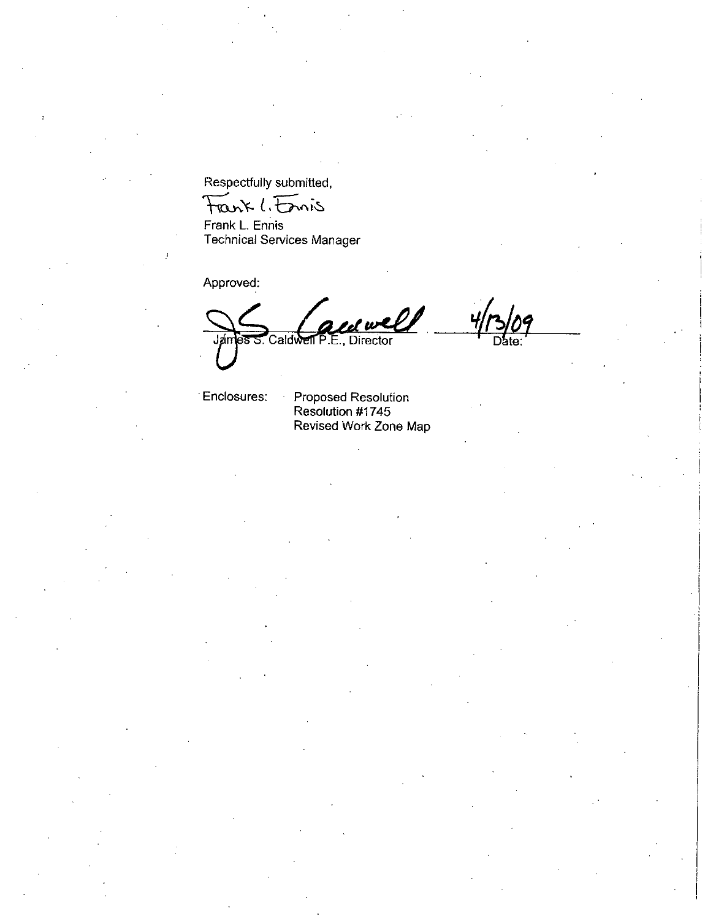Respectfully submitted

Respectfully submitted,<br>
Frank L. Ennis<br>
Frank L. Ennis<br>
Technical Services Manager

Approved

Jámes S. Caldwell P.E., Director 4/73/0

Enclosures: Proposed Resolution Resolution #1745 Revised Work Zone Map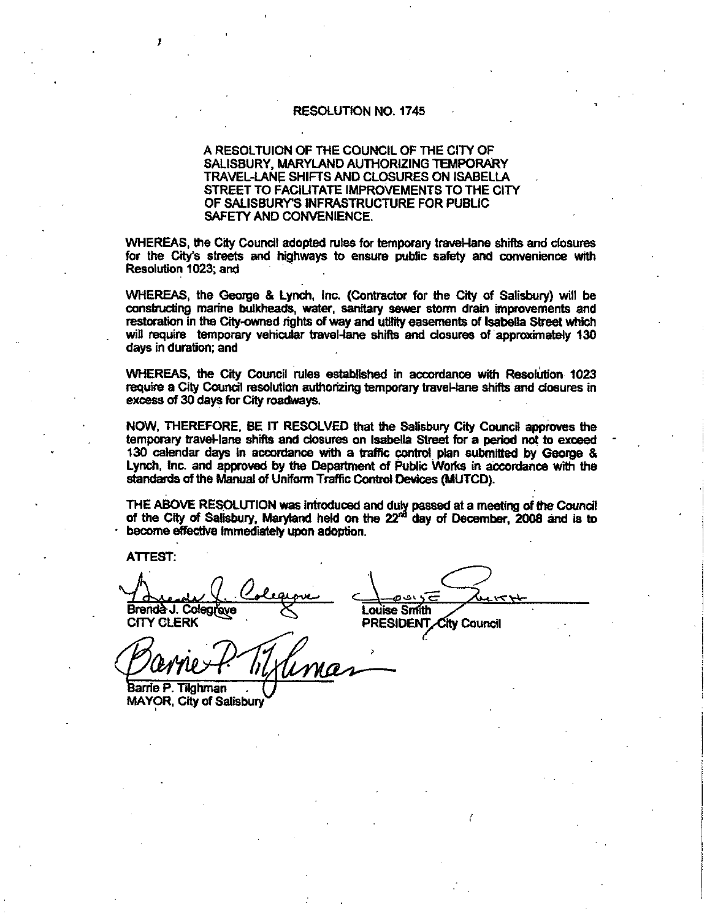#### RESOLUTION NO 1745

## A RESOLTUION OF THE COUNCIL OF THE CITY OF SALISBURY, MARYLAND AUTHORIZING TEMPORARY SALISBURY, MARYLAND AUTHORIZING TEMPORARY<br>TRAVEL-LANE SHIFTS AND CLOSURES ON ISABELLA<br>CODEFE TO EASY ITATE IMPOSITIVE TO THE CH STREET TO FACILITATE IMPROVEMENTS TO THE CITY CHES CONTINUES AND ARESOLT UNIVERSITY OF THE CITY OF SALISBURY, MARYLAND AUTHORIZING TEMPORATRAVEL-LANE SHIFTS AND CLOSURES ON ISABE<br>STREET TO FACILITATE IMPROVEMENTS TO THE OF SALISBURY'S INFRASTRUCTURE FOR PUBLIC<br>SAFETY SAFETY AND CONVENIENCE

WHEREAS, the City Council adopted rules for temporary traveHane shifts and closures for the City's streets and highways to ensure public safety and convenience with Resolution 1023; and

WHEREAS, the George & Lynch, Inc. (Contractor for the City of Salisbury) will be constructing marine bulkheads, water, sanitary sewer storm drain improvements and<br>restoration in the City-owned rights of way and utility easements of Isabella Street which<br>will require temporary vehicular travel-lane shif restoration in the City-owned rights of way and utility easements of Isabella Street which<br>will require temporary vehicular travel-lane shifts and closures of approximately 130 days in duration; and

WHEREAS the City Council rules established in accordance with Resolution 1023 require a City Council resolution authorizing temporary travel-lane shifts and closures in excess of 30 days for City roadways.

NOW THEREFORE BE IT RESOLVED that the Salisbury City Council approves the temporary traveHane shifts and closures on Isabella Street for a period not to exceed 130 calendar days in accordance with a traffic control plan submitted by George 8 Lynch, Inc. and approved by the Department of Public Works in accordance with the standards of the Manual of Uniform Traffic Control Devices (MUTCD). iss of 30 days for City ro<br>
Ses of 30 days for City ro<br>
N, THEREFORE, BE IT<br>
porary travel-lane shifts<br>
calendar days in acco<br>
dards of the Manual of L<br>
: ABOVE RESOLUTION<br>
ne City of Salisbury, Manne effective immediate<br>

THE ABOVE RESOLUTION was introduced and duly passed at a meeting of the Council of the City of Salisbury, Maryland held on the 22<sup>nd</sup> day of December. 2008 and is to become effective immediately upon adoption.

ATTEST

Brenda J. Colegiove **Communist COVID-RESIDENT**<br>CITY CLERK **PRESIDENT** 

PRESIDENT City Council

Pranies Barrie P. Tilghman

MAYOR, City of Salisbury